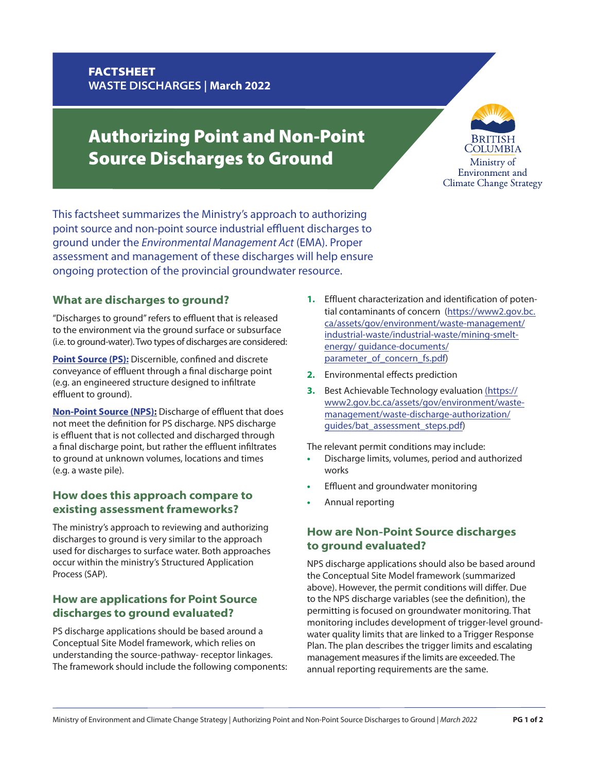# FACTSHEET **WASTE DISCHARGES | March 2022**

# Authorizing Point and Non-Point Source Discharges to Ground



This factsheet summarizes the Ministry's approach to authorizing point source and non-point source industrial effluent discharges to ground under the *Environmental Management Act* (EMA). Proper assessment and management of these discharges will help ensure ongoing protection of the provincial groundwater resource.

# **What are discharges to ground?**

"Discharges to ground" refers to effluent that is released to the environment via the ground surface or subsurface (i.e. to ground-water). Two types of discharges are considered:

**Point Source (PS):** Discernible, confined and discrete conveyance of effluent through a final discharge point (e.g. an engineered structure designed to infiltrate effluent to ground).

**Non-Point Source (NPS):** Discharge of effluent that does not meet the definition for PS discharge. NPS discharge is effluent that is not collected and discharged through a final discharge point, but rather the effluent infiltrates to ground at unknown volumes, locations and times (e.g. a waste pile).

#### **How does this approach compare to existing assessment frameworks?**

The ministry's approach to reviewing and authorizing discharges to ground is very similar to the approach used for discharges to surface water. Both approaches occur within the ministry's Structured Application Process (SAP).

# **How are applications for Point Source discharges to ground evaluated?**

PS discharge applications should be based around a Conceptual Site Model framework, which relies on understanding the source-pathway- receptor linkages. The framework should include the following components:

- **1.** Effluent characterization and identification of potential contaminants of concern (https://www2.gov.bc. [ca/assets/gov/environment/waste-management/](https://www2.gov.bc.ca/assets/gov/environment/waste-management/industrial-waste/industrial-waste/mining-smelt-energy/guidance-documents/parameter_of_concern_fs.pdf) industrial-waste/industrial-waste/mining-smeltenergy/ guidance-documents/ parameter\_of\_concern\_fs.pdf)
- **2.** Environmental effects prediction
- **3.** Best Achievable Technology evaluation (https:// [www2.gov.bc.ca/assets/gov/environment/waste](https://www2.gov.bc.ca/assets/gov/environment/waste-management/waste-discharge-authorization/guides/bat_assessment_steps.pdf)management/waste-discharge-authorization/ guides/bat\_assessment\_steps.pdf)

The relevant permit conditions may include:

- **•** Discharge limits, volumes, period and authorized works
- **•** Effluent and groundwater monitoring
- **•** Annual reporting

# **How are Non-Point Source discharges to ground evaluated?**

NPS discharge applications should also be based around the Conceptual Site Model framework (summarized above). However, the permit conditions will differ. Due to the NPS discharge variables (see the definition), the permitting is focused on groundwater monitoring. That monitoring includes development of trigger-level groundwater quality limits that are linked to a Trigger Response Plan. The plan describes the trigger limits and escalating management measures if the limits are exceeded. The annual reporting requirements are the same.